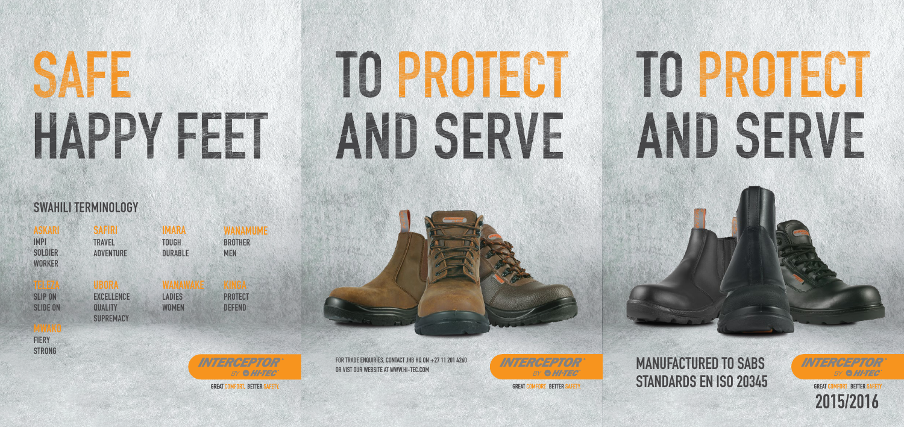ASKARI IMPI **SOLDIER WORKER** 

SAFF HAPPY FEET



#### SWAHILI TERMINOLOGY

TELEZA

**SLIP ON** 

**SLIDE ON** 

**SAFIRI TRAVEL** ADVENTURE

UBORA **EXCELLENCE QUALITY SUPREMACY** 

MWAKO

**FIERY** 

**STRONG** 

WANAWAKE LADIES **WOMEN** 

IMARA

**TOUGH** 

DURABLE

FOR TRADE ENQUIRIES, CONTACT JHB HQ ON +27 11 201 4260<br>OR VIST OUR WEBSITE AT WWW.HI-TEC.COM STANDARDS EN ISO 20345



WANAMUME **BROTHER** MEN

PROTECT DEFEND



**GREAT COMFORT, BETTER SAFETY** 

FOR TRADE ENQUIRIES, CONTACT JHB HQ ON  $+27$  11 201 4260

# TO PROTECT AND SERVE